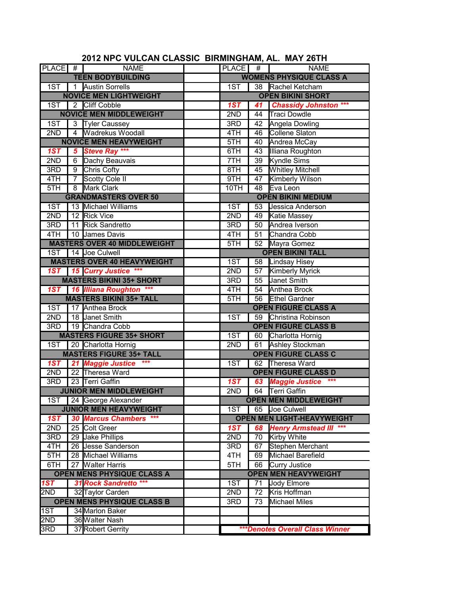| PLACE #                           |                       | <b>NAME</b>                         |  | PLACE #                  |                             | <b>NAME</b>                            |  |
|-----------------------------------|-----------------------|-------------------------------------|--|--------------------------|-----------------------------|----------------------------------------|--|
|                                   |                       | <b>TEEN BODYBUILDING</b>            |  |                          |                             | <b>WOMENS PHYSIQUE CLASS A</b>         |  |
|                                   |                       | 1ST   1 Austin Sorrells             |  | $\overline{1ST}$         |                             | 38 Rachel Ketcham                      |  |
| <b>NOVICE MEN LIGHTWEIGHT</b>     |                       |                                     |  | <b>OPEN BIKINI SHORT</b> |                             |                                        |  |
|                                   |                       | 1ST 2 Cliff Cobble                  |  | 1ST                      |                             | 41 Chassidy Johnston ***               |  |
|                                   |                       | <b>NOVICE MEN MIDDLEWEIGHT</b>      |  | 2ND                      |                             | 44 Traci Dowdle                        |  |
| 1ST                               |                       | 3 Tyler Caussey                     |  | 3RD                      |                             | 42 Angela Dowling                      |  |
| 2ND                               |                       | 4 Wadrekus Woodall                  |  | 4TH                      | 46                          | Collene Slaton                         |  |
|                                   |                       | <b>NOVICE MEN HEAVYWEIGHT</b>       |  | 5TH                      | $40-1$                      | Andrea McCay                           |  |
| 1ST                               |                       | 5 Steve Ray ***                     |  | 6TH                      | 43                          | Illiana Roughton                       |  |
| 2ND                               |                       | 6 Dachy Beauvais                    |  | 7TH                      | 39                          | <b>Kyndle Sims</b>                     |  |
| 3RD                               | 9                     | Chris Cofty                         |  | 8TH                      |                             | 45 Whitley Mitchell                    |  |
| 4TH                               | $\overline{7}$        | Scotty Cole II                      |  | 9TH                      | $\overline{47}$             | <b>Kimberly Wilson</b>                 |  |
| 5TH                               | $\overline{8}$        | Mark Clark                          |  | 10TH                     | 48                          | Eva Leon                               |  |
|                                   |                       | <b>GRANDMASTERS OVER 50</b>         |  |                          |                             | <b>OPEN BIKINI MEDIUM</b>              |  |
| 1ST                               |                       | 13 Michael Williams                 |  | 1ST                      |                             | 53 Jessica Anderson                    |  |
| 2ND                               |                       | 12 Rick Vice                        |  | 2ND                      |                             | 49 Katie Massey                        |  |
| 3RD                               |                       | 11 Rick Sandretto                   |  | 3RD                      |                             | 50 Andrea Iverson                      |  |
| 4TH                               |                       | 10 James Davis                      |  | 4TH                      |                             | 51 Chandra Cobb                        |  |
|                                   |                       | <b>MASTERS OVER 40 MIDDLEWEIGHT</b> |  | 5TH                      |                             | 52 Mayra Gomez                         |  |
|                                   | 14 Joe Culwell<br>1ST |                                     |  | <b>OPEN BIKINI TALL</b>  |                             |                                        |  |
|                                   |                       | <b>MASTERS OVER 40 HEAVYWEIGHT</b>  |  | 1ST                      |                             | 58 Lindsay Hisey                       |  |
|                                   |                       | 1ST 15 Curry Justice ***            |  | 2ND                      |                             | 57 Kimberly Myrick                     |  |
|                                   |                       | <b>MASTERS BIKINI 35+ SHORT</b>     |  | 3RD                      |                             | 55 Janet Smith                         |  |
|                                   |                       | 1ST 16 Illiana Roughton ***         |  | 4TH                      |                             | 54 Anthea Brock                        |  |
|                                   |                       | <b>MASTERS BIKINI 35+ TALL</b>      |  | 5TH                      |                             | 56 Ethel Gardner                       |  |
| 1ST                               |                       | 17 Anthea Brock                     |  |                          |                             | <b>OPEN FIGURE CLASS A</b>             |  |
| 2ND                               |                       | 18 Janet Smith                      |  | 1ST                      |                             | 59 Christina Robinson                  |  |
| $\overline{3RD}$                  |                       | 19 Chandra Cobb                     |  |                          |                             | <b>OPEN FIGURE CLASS B</b>             |  |
|                                   |                       | <b>MASTERS FIGURE 35+ SHORT</b>     |  | 1ST                      |                             | 60 Charlotta Hornig                    |  |
| 1ST                               |                       | 20 Charlotta Hornig                 |  | 2ND                      |                             | 61 Ashley Stockman                     |  |
|                                   |                       | <b>MASTERS FIGURE 35+ TALL</b>      |  |                          |                             | <b>OPEN FIGURE CLASS C</b>             |  |
|                                   |                       | 1ST 21 Maggie Justice ***           |  | 1ST                      |                             | 62 Theresa Ward                        |  |
| 2ND                               |                       | 22 Theresa Ward                     |  |                          |                             | <b>OPEN FIGURE CLASS D</b>             |  |
| 3RD                               |                       | 23 Terri Gaffin                     |  | 1ST                      |                             | $***$<br><b>63 Maggie Justice</b>      |  |
|                                   |                       | <b>JUNIOR MEN MIDDLEWEIGHT</b>      |  | 2ND                      |                             | 64 Terri Gaffin                        |  |
|                                   |                       | 1ST 24 George Alexander             |  |                          |                             | <b>OPEN MEN MIDDLEWEIGHT</b>           |  |
|                                   |                       | <b>JUNIOR MEN HEAVYWEIGHT</b>       |  | 1ST                      | 65                          | Joe Culwell                            |  |
| 1ST                               |                       | <b>30 Marcus Chambers</b>           |  |                          |                             | <b>OPEN MEN LIGHT-HEAVYWEIGHT</b>      |  |
| 2ND                               |                       | 25 Colt Greer                       |  | 1ST                      | 68                          | <b>Henry Armstead III</b>              |  |
| 3RD                               |                       | 29 Jake Phillips                    |  | 2ND                      | 70                          | Kirby White                            |  |
| 4TH                               |                       | 26 Jesse Sanderson                  |  | 3RD                      | 67                          | Stephen Merchant                       |  |
| 5TH                               |                       | 28 Michael Williams                 |  | 4TH                      | 69                          | Michael Barefield                      |  |
| 6TH                               | 27                    | <b>Walter Harris</b>                |  | 5TH                      | 66                          | Curry Justice                          |  |
| <b>OPEN MENS PHYSIQUE CLASS A</b> |                       |                                     |  |                          | <b>OPEN MEN HEAVYWEIGHT</b> |                                        |  |
| 1ST                               |                       | <b>31 Rock Sandretto ***</b>        |  | 1ST                      | 71                          | Jody Elmore                            |  |
| 2ND                               |                       | 32 Taylor Carden                    |  | 2ND                      | 72                          | Kris Hoffman                           |  |
|                                   |                       | <b>OPEN MENS PHYSIQUE CLASS B</b>   |  | 3RD                      | 73                          | Michael Miles                          |  |
| $\overline{1ST}$                  |                       | 34 Marlon Baker                     |  |                          |                             |                                        |  |
| 2ND                               |                       | 36 Walter Nash                      |  |                          |                             |                                        |  |
| 3RD                               |                       | 37 Robert Gerrity                   |  |                          |                             | <b>***Denotes Overall Class Winner</b> |  |

## **2012 NPC VULCAN CLASSIC BIRMINGHAM, AL. MAY 26TH**